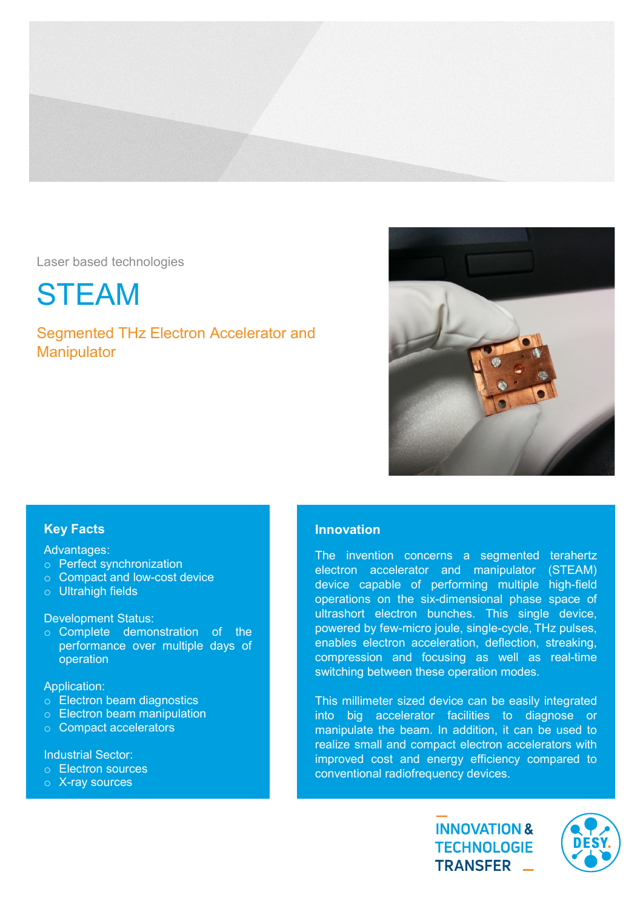

Laser based technologies

STEAM

Segmented THz Electron Accelerator and **Manipulator** 



# Key Facts

## Advantages:

- o Perfect synchronization
- o Compact and low-cost device
- o Ultrahigh fields

Development Status:

o Complete demonstration of the performance over multiple days of operation

### Application:

- o Electron beam diagnostics
- o Electron beam manipulation
- o Compact accelerators

Industrial Sector:

- o Electron sources
- o X-ray sources

## Innovation

The invention concerns a segmented terahertz electron accelerator and manipulator (STEAM) device capable of performing multiple high-field operations on the six-dimensional phase space of ultrashort electron bunches. This single device, powered by few-micro joule, single-cycle, THz pulses, enables electron acceleration, deflection, streaking, compression and focusing as well as real-time switching between these operation modes.

This millimeter sized device can be easily integrated into big accelerator facilities to diagnose or manipulate the beam. In addition, it can be used to realize small and compact electron accelerators with improved cost and energy efficiency compared to conventional radiofrequency devices.

> **INNOVATION & TECHNOLOGIE** TRANSFER \_